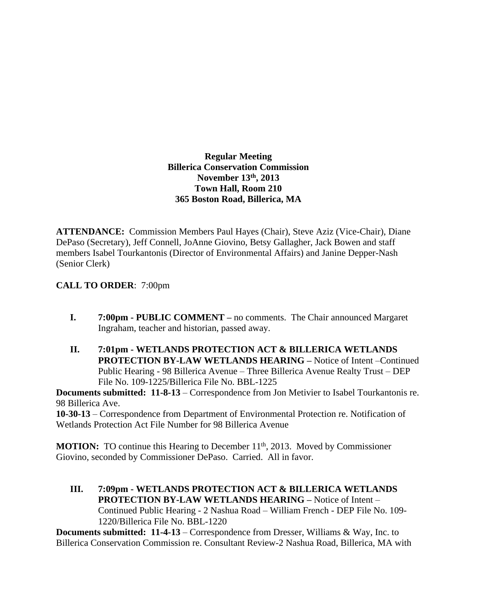**Regular Meeting Billerica Conservation Commission November 13th , 2013 Town Hall, Room 210 365 Boston Road, Billerica, MA**

**ATTENDANCE:** Commission Members Paul Hayes (Chair), Steve Aziz (Vice-Chair), Diane DePaso (Secretary), Jeff Connell, JoAnne Giovino, Betsy Gallagher, Jack Bowen and staff members Isabel Tourkantonis (Director of Environmental Affairs) and Janine Depper-Nash (Senior Clerk)

## **CALL TO ORDER**: 7:00pm

- **I. 7:00pm PUBLIC COMMENT –** no comments. The Chair announced Margaret Ingraham, teacher and historian, passed away.
- **II. 7:01pm WETLANDS PROTECTION ACT & BILLERICA WETLANDS PROTECTION BY-LAW WETLANDS HEARING –** Notice of Intent –Continued Public Hearing - 98 Billerica Avenue – Three Billerica Avenue Realty Trust – DEP File No. 109-1225/Billerica File No. BBL-1225

**Documents submitted: 11-8-13** – Correspondence from Jon Metivier to Isabel Tourkantonis re. 98 Billerica Ave.

**10-30-13** – Correspondence from Department of Environmental Protection re. Notification of Wetlands Protection Act File Number for 98 Billerica Avenue

**MOTION:** TO continue this Hearing to December 11<sup>th</sup>, 2013. Moved by Commissioner Giovino, seconded by Commissioner DePaso. Carried. All in favor.

**III. 7:09pm - WETLANDS PROTECTION ACT & BILLERICA WETLANDS PROTECTION BY-LAW WETLANDS HEARING –** Notice of Intent – Continued Public Hearing - 2 Nashua Road – William French - DEP File No. 109- 1220/Billerica File No. BBL-1220

**Documents submitted: 11-4-13** – Correspondence from Dresser, Williams & Way, Inc. to Billerica Conservation Commission re. Consultant Review-2 Nashua Road, Billerica, MA with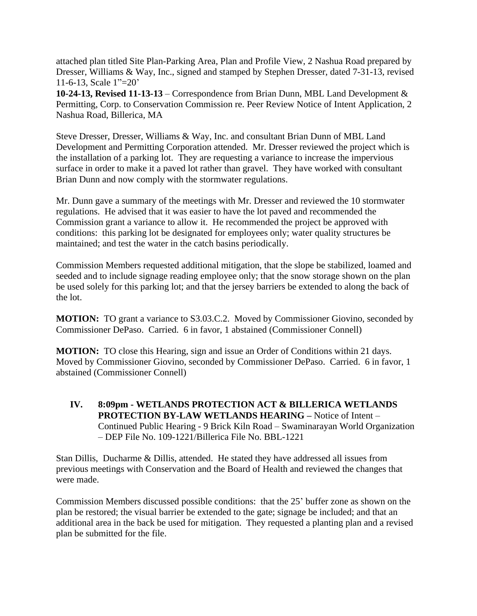attached plan titled Site Plan-Parking Area, Plan and Profile View, 2 Nashua Road prepared by Dresser, Williams & Way, Inc., signed and stamped by Stephen Dresser, dated 7-31-13, revised 11-6-13, Scale 1"=20'

**10-24-13, Revised 11-13-13** – Correspondence from Brian Dunn, MBL Land Development & Permitting, Corp. to Conservation Commission re. Peer Review Notice of Intent Application, 2 Nashua Road, Billerica, MA

Steve Dresser, Dresser, Williams & Way, Inc. and consultant Brian Dunn of MBL Land Development and Permitting Corporation attended. Mr. Dresser reviewed the project which is the installation of a parking lot. They are requesting a variance to increase the impervious surface in order to make it a paved lot rather than gravel. They have worked with consultant Brian Dunn and now comply with the stormwater regulations.

Mr. Dunn gave a summary of the meetings with Mr. Dresser and reviewed the 10 stormwater regulations. He advised that it was easier to have the lot paved and recommended the Commission grant a variance to allow it. He recommended the project be approved with conditions: this parking lot be designated for employees only; water quality structures be maintained; and test the water in the catch basins periodically.

Commission Members requested additional mitigation, that the slope be stabilized, loamed and seeded and to include signage reading employee only; that the snow storage shown on the plan be used solely for this parking lot; and that the jersey barriers be extended to along the back of the lot.

**MOTION:** TO grant a variance to S3.03.C.2. Moved by Commissioner Giovino, seconded by Commissioner DePaso. Carried. 6 in favor, 1 abstained (Commissioner Connell)

**MOTION:** TO close this Hearing, sign and issue an Order of Conditions within 21 days. Moved by Commissioner Giovino, seconded by Commissioner DePaso. Carried. 6 in favor, 1 abstained (Commissioner Connell)

**IV. 8:09pm - WETLANDS PROTECTION ACT & BILLERICA WETLANDS PROTECTION BY-LAW WETLANDS HEARING –** Notice of Intent – Continued Public Hearing - 9 Brick Kiln Road – Swaminarayan World Organization – DEP File No. 109-1221/Billerica File No. BBL-1221

Stan Dillis, Ducharme & Dillis, attended. He stated they have addressed all issues from previous meetings with Conservation and the Board of Health and reviewed the changes that were made.

Commission Members discussed possible conditions: that the 25' buffer zone as shown on the plan be restored; the visual barrier be extended to the gate; signage be included; and that an additional area in the back be used for mitigation. They requested a planting plan and a revised plan be submitted for the file.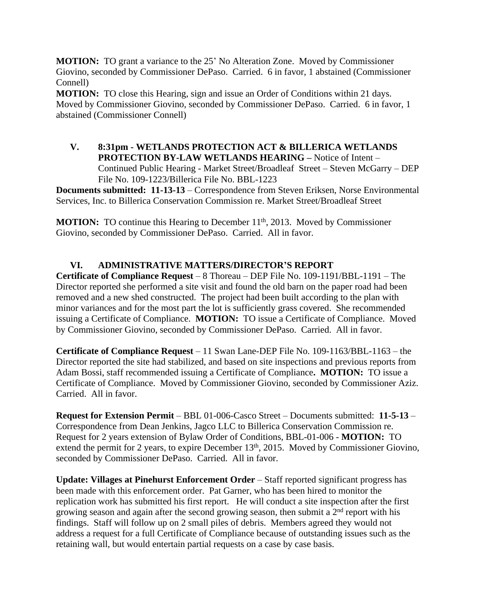**MOTION:** TO grant a variance to the 25' No Alteration Zone. Moved by Commissioner Giovino, seconded by Commissioner DePaso. Carried. 6 in favor, 1 abstained (Commissioner Connell)

**MOTION:** TO close this Hearing, sign and issue an Order of Conditions within 21 days. Moved by Commissioner Giovino, seconded by Commissioner DePaso. Carried. 6 in favor, 1 abstained (Commissioner Connell)

**V. 8:31pm - WETLANDS PROTECTION ACT & BILLERICA WETLANDS PROTECTION BY-LAW WETLANDS HEARING –** Notice of Intent – Continued Public Hearing - Market Street/Broadleaf Street – Steven McGarry – DEP File No. 109-1223/Billerica File No. BBL-1223

**Documents submitted: 11-13-13** – Correspondence from Steven Eriksen, Norse Environmental Services, Inc. to Billerica Conservation Commission re. Market Street/Broadleaf Street

**MOTION:** TO continue this Hearing to December 11<sup>th</sup>, 2013. Moved by Commissioner Giovino, seconded by Commissioner DePaso. Carried. All in favor.

## **VI. ADMINISTRATIVE MATTERS/DIRECTOR'S REPORT**

**Certificate of Compliance Request** – 8 Thoreau – DEP File No. 109-1191/BBL-1191 – The Director reported she performed a site visit and found the old barn on the paper road had been removed and a new shed constructed. The project had been built according to the plan with minor variances and for the most part the lot is sufficiently grass covered. She recommended issuing a Certificate of Compliance. **MOTION:** TO issue a Certificate of Compliance. Moved by Commissioner Giovino, seconded by Commissioner DePaso. Carried. All in favor.

**Certificate of Compliance Request** – 11 Swan Lane-DEP File No. 109-1163/BBL-1163 – the Director reported the site had stabilized, and based on site inspections and previous reports from Adam Bossi, staff recommended issuing a Certificate of Compliance**. MOTION:** TO issue a Certificate of Compliance. Moved by Commissioner Giovino, seconded by Commissioner Aziz. Carried. All in favor.

**Request for Extension Permit** – BBL 01-006-Casco Street – Documents submitted: **11-5-13** – Correspondence from Dean Jenkins, Jagco LLC to Billerica Conservation Commission re. Request for 2 years extension of Bylaw Order of Conditions, BBL-01-006 - **MOTION:** TO extend the permit for 2 years, to expire December 13<sup>th</sup>, 2015. Moved by Commissioner Giovino, seconded by Commissioner DePaso. Carried. All in favor.

**Update: Villages at Pinehurst Enforcement Order** – Staff reported significant progress has been made with this enforcement order. Pat Garner, who has been hired to monitor the replication work has submitted his first report. He will conduct a site inspection after the first growing season and again after the second growing season, then submit a 2<sup>nd</sup> report with his findings. Staff will follow up on 2 small piles of debris. Members agreed they would not address a request for a full Certificate of Compliance because of outstanding issues such as the retaining wall, but would entertain partial requests on a case by case basis.